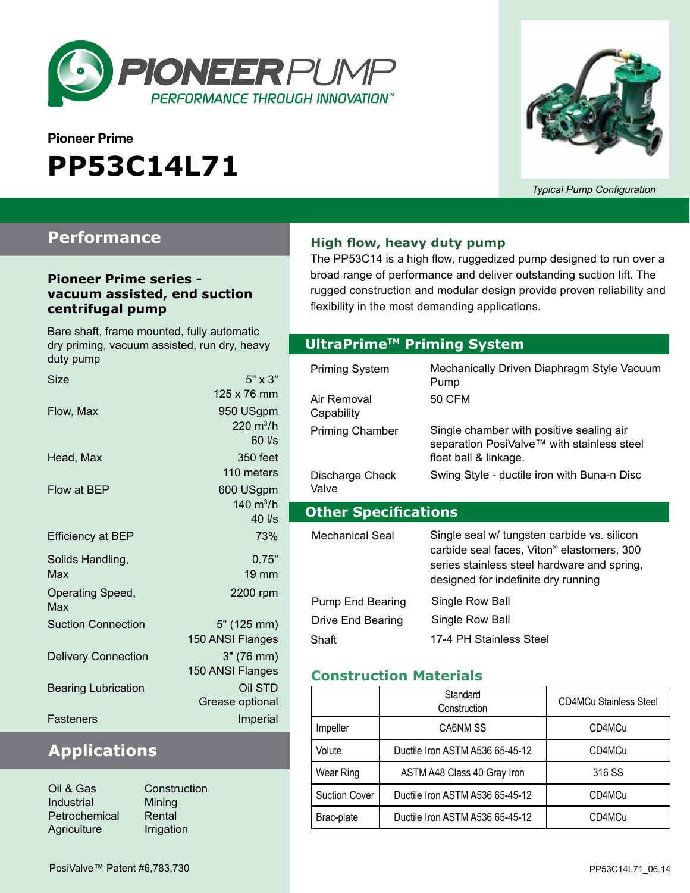

# **Pioneer Prime PP53C14L71**



*Typical Pump Configuration*

### **Performance**

#### **Pioneer Prime series vacuum assisted, end suction centrifugal pump**

Bare shaft, frame mounted, fully automatic dry priming, vacuum assisted, run dry, heavy duty pump

| $5" \times 3"$      |
|---------------------|
| 125 x 76 mm         |
| 950 USgpm           |
| $220 \text{ m}^3/h$ |
| $60$ I/s            |
| 350 feet            |
| 110 meters          |
| 600 USgpm           |
| 140 $m^3/h$         |
| 40 l/s              |
| 73%                 |
| 0.75"               |
| $19 \text{ mm}$     |
| 2200 rpm            |
| 5" (125 mm)         |
| 150 ANSI Flanges    |
| 3" (76 mm)          |
| 150 ANSI Flanges    |
| Oil STD             |
| Grease optional     |
| Imperial            |
|                     |

## **Applications**

| Constr    |
|-----------|
| Mining    |
| Rental    |
| Irrigatio |
|           |

struction ation

#### **High flow, heavy duty pump**

The PP53C14 is a high flow, ruggedized pump designed to run over a broad range of performance and deliver outstanding suction lift. The rugged construction and modular design provide proven reliability and flexibility in the most demanding applications.

#### **Optional Priming System UltraPrimeTM Priming System**

| Priming System              | Mechanically Driven Diaphragm Style Vacuum<br>Pump                                                                                                                                          |
|-----------------------------|---------------------------------------------------------------------------------------------------------------------------------------------------------------------------------------------|
| Air Removal<br>Capability   | 50 CFM                                                                                                                                                                                      |
| <b>Priming Chamber</b>      | Single chamber with positive sealing air<br>separation PosiValve™ with stainless steel<br>float ball & linkage.                                                                             |
| Discharge Check<br>Valve    | Swing Style - ductile iron with Buna-n Disc                                                                                                                                                 |
|                             |                                                                                                                                                                                             |
| <b>Other Specifications</b> |                                                                                                                                                                                             |
| Mechanical Seal             | Single seal w/ tungsten carbide vs. silicon<br>carbide seal faces, Viton <sup>®</sup> elastomers, 300<br>series stainless steel hardware and spring,<br>designed for indefinite dry running |
| Pump End Bearing            | Single Row Ball                                                                                                                                                                             |
| Drive End Bearing           | Single Row Ball                                                                                                                                                                             |

#### **Construction Materials**

|                      | Standard<br>Construction        | <b>CD4MCu Stainless Steel</b> |  |
|----------------------|---------------------------------|-------------------------------|--|
| Impeller             | CA6NM SS                        | CD4MCu                        |  |
| Volute               | Ductile Iron ASTM A536 65-45-12 | CD4MCu                        |  |
| Wear Ring            | ASTM A48 Class 40 Gray Iron     | 316 SS                        |  |
| <b>Suction Cover</b> | Ductile Iron ASTM A536 65-45-12 |                               |  |
| Brac-plate           | Ductile Iron ASTM A536 65-45-12 | CD4MCu                        |  |